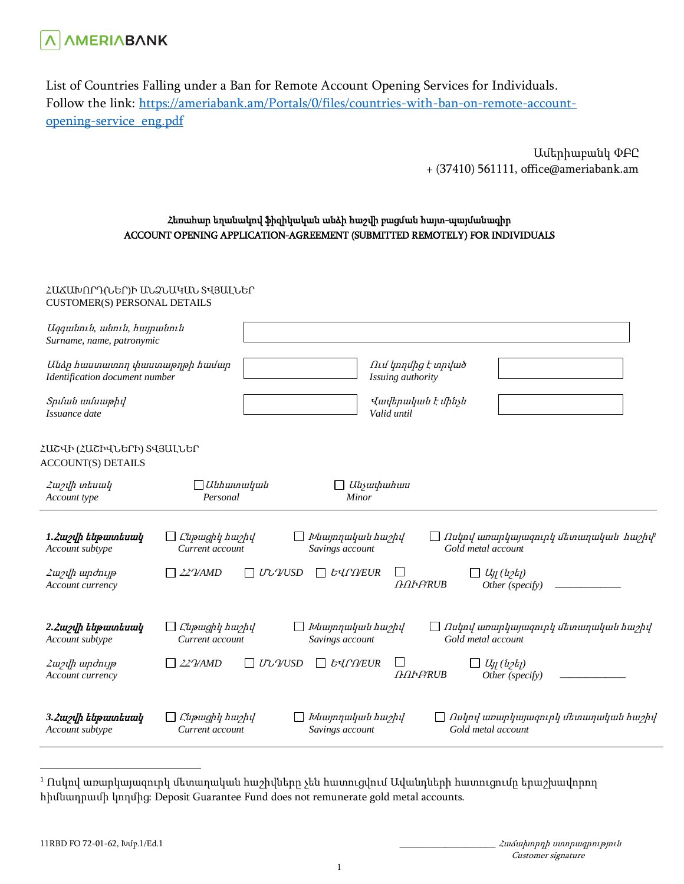

List of Countries Falling under a Ban for Remote Account Opening Services for Individuals. Follow the link: [https://ameriabank.am/Portals/0/files/countries-with-ban-on-remote-account](https://ameriabank.am/Portals/0/files/countries-with-ban-on-remote-account-opening-service_eng.pdf)[opening-service\\_eng.pdf](https://ameriabank.am/Portals/0/files/countries-with-ban-on-remote-account-opening-service_eng.pdf)

> Ամերիաբանկ ՓԲԸ + (37410) 561111, office@ameriabank.am

## Հեռահար եղանակով ֆիզիկական անձի հաշվի բացման հայտ-պայմանագիր ACCOUNT OPENING APPLICATION-AGREEMENT (SUBMITTED REMOTELY) FOR INDIVIDUALS

## ՀԱՃԱԽՈՐԴ(ՆԵՐ)Ի ԱՆՁՆԱԿԱՆ ՏՎՅԱԼՆԵՐ CUSTOMER(S) PERSONAL DETAILS

| Uqquitmit, witmit, huypwitmit<br>Surname, name, patronymic      |                                            |                                     |                                                                         |
|-----------------------------------------------------------------|--------------------------------------------|-------------------------------------|-------------------------------------------------------------------------|
| Անձր հաստատող փաստաթղթի համար<br>Identification document number |                                            | Issuing authority                   | Ում կողմից է տրված                                                      |
| Spuluuu uuluuuphy<br>Issuance date                              |                                            | Valid until                         | Վավերական է մինչև                                                       |
| ՀԱՇՎԻ (ՀԱՇԻՎՆԵՐԻ) ՏՎՅԱԼՆԵՐ<br><b>ACCOUNT(S) DETAILS</b>         |                                            |                                     |                                                                         |
| <i><b>Zw</b>ylh intuwly</i><br>Account type                     | $\Box$ Անհատական<br>Personal               | Անչափահաս<br>Minor                  |                                                                         |
| 1. Zweylh tupuntuwy<br>Account subtype                          | Cupwghy hw2hy<br>Current account           | Խնայողական հաշիվ<br>Savings account | Ոսկով առարկայագուրկ մետաղական հաշիվ <sup>լ</sup><br>Gold metal account  |
| Հաշվի արժույթ<br>Account currency                               | $\Box$ 22 VAMD<br>$\Box$ U'LYUSD           | <i><b>byfneur</b></i><br>$\Box$     | $\Box$ $U_{ll}$ ( $\Delta z$ )<br><b>AAFARUB</b><br>Other (specify)     |
| 2. Zweylh tupuntuwy<br>Account subtype                          | Cupwghy hw2hy<br>Current account           | Խնայողական հաշիվ<br>Savings account | $\Box$ Ոսկով առարկայագուրկ մետաղական հաշիվ<br>Gold metal account        |
| Հաշվի արժույթ<br>Account currency                               | $22$ $\gamma$ AMD<br>$\Box$ U' $\cup$ VUSD | $\perp$<br><b><i>byfneur</i></b>    | $\Box$ $U_{ll}$ ( $i$ 2 $t_{ll}$ )<br><b>GOEBRUB</b><br>Other (specify) |
| 3. Zwolh tupuntuwy<br>Account subtype                           | Ընթացիկ hաշիվ<br>Current account           | Խնայողական հաշիվ<br>Savings account | $\Box$ Ոսկով առարկայագուրկ մետաղական հաշիվ<br>Gold metal account        |

 $\overline{a}$ 

Customer signature

 $1$  Ոսկով առարկայազուրկ մետաղական հաշիվները չեն հատուցվում Ավանդների հատուցումը երաշխավորող հիմնադրամի կողմից: Deposit Guarantee Fund does not remunerate gold metal accounts.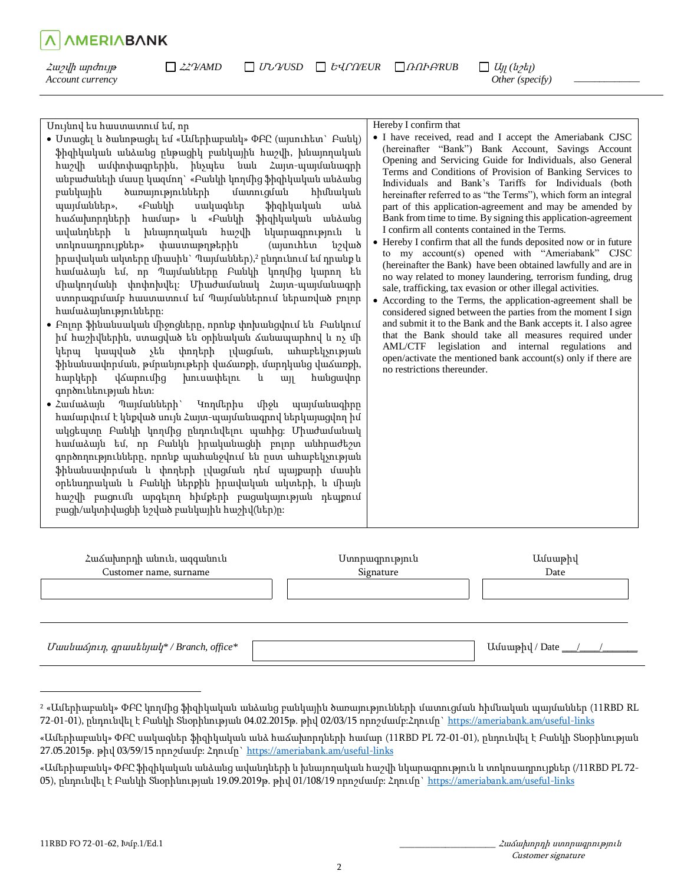| Մույնով ես հաստատում եմ, որ                                                                                                                                                                                                                                                                                                                                                                                                                                         | Hereby I confirm that                                                                                                                                                                                                                                                                                                                                                                                                                                                                                                                                                                                                 |
|---------------------------------------------------------------------------------------------------------------------------------------------------------------------------------------------------------------------------------------------------------------------------------------------------------------------------------------------------------------------------------------------------------------------------------------------------------------------|-----------------------------------------------------------------------------------------------------------------------------------------------------------------------------------------------------------------------------------------------------------------------------------------------------------------------------------------------------------------------------------------------------------------------------------------------------------------------------------------------------------------------------------------------------------------------------------------------------------------------|
| • Ստացել և ծանոթացել եմ «Ամերիաբանկ» ՓԲԸ (այսուհետ` Բանկ)<br>ֆիզիկական անձանց ընթացիկ բանկային հաշվի, խնայողական<br>հաշվի ամփոփագրերին, ինչպես նաև Հայտ-պայմանագրի<br>անբաժանելի մասը կազմող` «Բանկի կողմից ֆիզիկական անձանց<br>բանկային<br>ծառայությունների<br>մատուցման<br>հիմնական<br>պայմաններ»,<br>«Բանկի<br>ֆիզիկական<br>սակագներ<br>wuà<br>ֆիզիկական<br>հաձախորդների<br>hամար» և «Բանկի<br>անձանց<br>ավանդների<br>խնայողական հաշվի<br>նկարագրություն և<br>u. | • I have received, read and I accept the Ameriabank CJSC<br>(hereinafter "Bank") Bank Account, Savings Account<br>Opening and Servicing Guide for Individuals, also General<br>Terms and Conditions of Provision of Banking Services to<br>Individuals and Bank's Tariffs for Individuals (both<br>hereinafter referred to as "the Terms"), which form an integral<br>part of this application-agreement and may be amended by<br>Bank from time to time. By signing this application-agreement<br>I confirm all contents contained in the Terms.<br>• Hereby I confirm that all the funds deposited now or in future |
| տոկոսադրույքներ»<br>փաստաթղթերին<br>(այսուհետ<br>նշված<br>իրավական ակտերը միասին` Պայմաններ),2 ընդունում եմ դրանք և                                                                                                                                                                                                                                                                                                                                                 | to my account(s) opened with "Ameriabank" CJSC<br>(hereinafter the Bank) have been obtained lawfully and are in                                                                                                                                                                                                                                                                                                                                                                                                                                                                                                       |
|                                                                                                                                                                                                                                                                                                                                                                                                                                                                     |                                                                                                                                                                                                                                                                                                                                                                                                                                                                                                                                                                                                                       |

 $\Box$  22 <del>γ</del>AMD  $\Box$  UU  $\mathcal{V}$ *USD*  $\Box$  E<sub>V</sub> $\cap$ *NEUR*  $\Box$  *A* $\cap$ *AFARUB*  $\Box$  *U*<sub>I</sub> $\cup$  (*u*<sub>2</sub>*t*<sub>1</sub>)

- համաձայն եմ, որ Պայմանները Բանկի կողմից կարող են միակողմանի փոփոխվել: Միաժամանակ Հայտ-պայմանագրի ստորագրմամբ հաստատում եմ Պայմաններում ներառված բոլոր համաձայնությունները:
- Բոլոր ֆինանսական միջոցները, որոնք փոխանցվում են Բանկում իմ հաշիվներին, ստացված են օրինական ճանապարհով և ոչ մի կերպ կապված չեն փողերի լվացման, ահաբեկչության ֆինանսավորման, թմրանյութերի վաճառքի, մարդկանց վաճառքի, հարկերի վճարումից խուսափելու և այլ հանցավոր գործունեության հետ:
- Համաձայն Պայմանների` Կողմերիս միջև պայմանագիրը համարվում է կնքված սույն Հայտ-պայմանագրով ներկայացվող իմ ակցեպտը Բանկի կողմից ընդունվելու պահից: Միաժամանակ համաձայն եմ, որ Բանկն իրականացնի բոլոր անհրաժեշտ գործողությունները, որոնք պահանջվում են ըստ ահաբեկչության ֆինանսավորման և փողերի լվացման դեմ պայքարի մասին օրենսդրական և Բանկի ներքին իրավական ակտերի, և միայն հաշվի բացումն արգելող հիմքերի բացակայության դեպքում բացի/ակտիվացնի նշված բանկային հաշիվ(ներ)ը:

| Հաձախորդի անուն, ազգանուն<br>Customer name, surname | Ստորագրություն<br>Signature | Ամսաթիվ<br>Date  |  |
|-----------------------------------------------------|-----------------------------|------------------|--|
|                                                     |                             |                  |  |
| Uwuuanua qpwukuyuly* / Branch, office*              |                             | Uuuuphu / Date / |  |

 $\overline{a}$ 

Հաշվի արժույթ *Account currency*

**AMERIABANK** 

no way related to money laundering, terrorism funding, drug sale, trafficking, tax evasion or other illegal activities. According to the Terms, the application-agreement shall be considered signed between the parties from the moment I sign and submit it to the Bank and the Bank accepts it. I also agree that the Bank should take all measures required under AML/CTF legislation and internal regulations and open/activate the mentioned bank account(s) only if there are

 *Other (specify)* 

*\_\_\_\_\_\_\_\_\_\_\_\_\_* 

no restrictions thereunder.

<sup>2</sup> «Ամերիաբանկ» ՓԲԸ կողմից ֆիզիկական անձանց բանկային ծառայությունների մատուցման հիմնական պայմաններ (11RBD RL 72-01-01), ընդունվել է Բանկի Տնօրինության 04.02.2015թ. թիվ 02/03/15 որոշմամբ:Հղումը`<https://ameriabank.am/useful-links>

<sup>«</sup>Ամերիաբանկ» ՓԲԸ սակագներ ֆիզիկական անձ հաճախորդների համար (11RBD PL 72-01-01), ընդունվել է Բանկի Տնօրինության 27.05.2015թ. թիվ 03/59/15 որոշմամբ։ Հղումը[` https://ameriabank.am/useful-links](https://ameriabank.am/useful-links)

<sup>«</sup>Ամերիաբանկ» ՓԲԸ ֆիզիկական անձանց ավանդների և խնայողական հաշվի նկարագրություն և տոկոսադրույքներ (/11RBD PL 72- 05), ընդունվել է Բանկի Տնօրինության 19.09.2019թ. թիվ 01/108/19 որոշմամբ: Հղումը[` https://ameriabank.am/useful-links](https://ameriabank.am/useful-links)